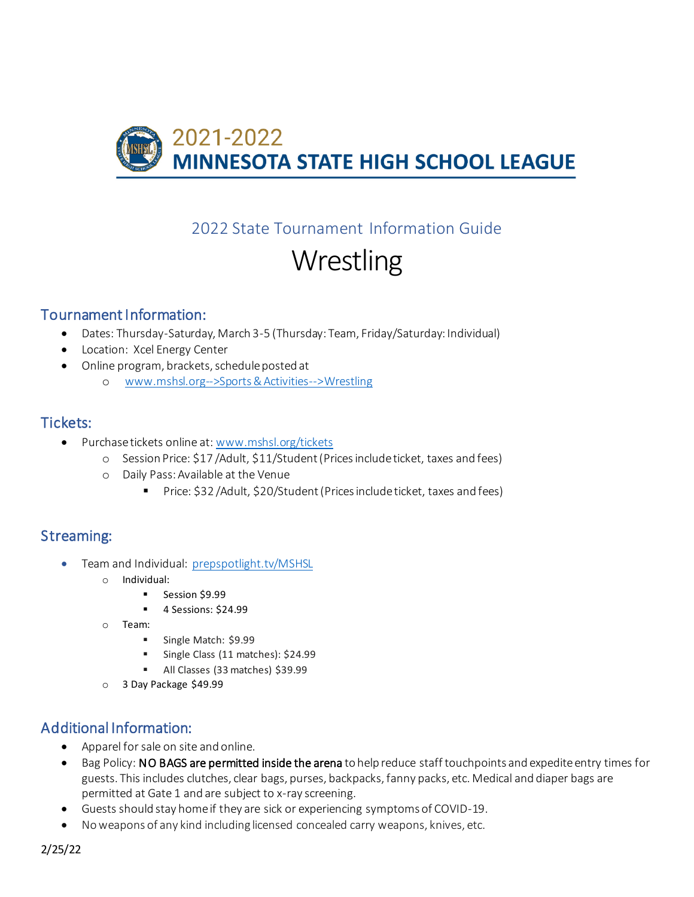

# 2022 State Tournament Information Guide

# Wrestling

#### Tournament Information:

- Dates: Thursday-Saturday, March 3-5 (Thursday: Team, Friday/Saturday: Individual)
- Location: Xcel Energy Center
- Online program, brackets, schedule posted at
	- o www.mshsl.org-->Sports & Activities-->Wrestling

#### Tickets:

- Purchase tickets online at: www.mshsl.org/tickets
	- o Session Price: \$17 /Adult, \$11/Student (Prices include ticket, taxes and fees)
	- o Daily Pass: Available at the Venue
		- Price: \$32 / Adult, \$20/ Student (Prices include ticket, taxes and fees)

## Streaming:

- Team and Individual: prepspotlight.tv/MSHSL
	- o Individual:
		- Session \$9.99
			- 4 Sessions: \$24.99
	- o Team:
		- Single Match: \$9.99
		- **E** Single Class (11 matches): \$24.99
		- All Classes (33 matches) \$39.99
	- o 3 Day Package \$49.99

## Additional Information:

- Apparel for sale on site and online.
- Bag Policy: NO BAGS are permitted inside the arena to help reduce staff touchpoints and expedite entry times for guests. This includes clutches, clear bags, purses, backpacks, fanny packs, etc. Medical and diaper bags are permitted at Gate 1 and are subject to x-ray screening.
- Guests should stay home if they are sick or experiencing symptoms of COVID-19.
- No weapons of any kind including licensed concealed carry weapons, knives, etc.